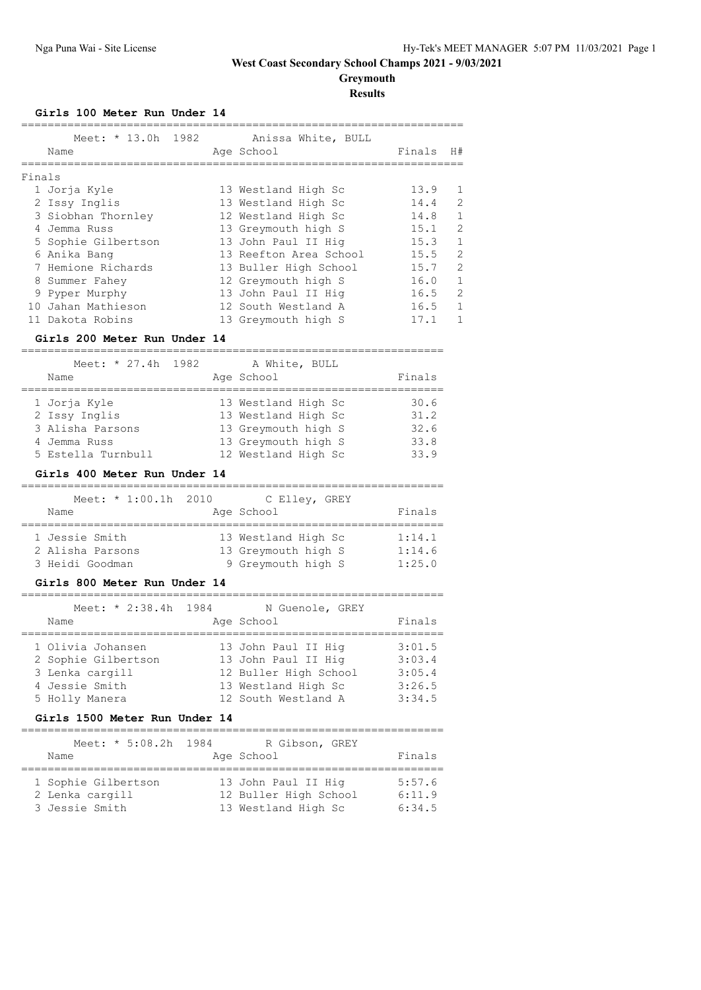**Greymouth**

## **Results**

### **Girls 100 Meter Run Under 14**

|        | Meet: * 13.0h 1982<br>Name |  | Anissa White, BULL<br>Age School | Finals | H#            |
|--------|----------------------------|--|----------------------------------|--------|---------------|
| Finals |                            |  |                                  |        |               |
|        | 1 Jorja Kyle               |  | 13 Westland High Sc              | 13.9   |               |
|        | 2 Issy Inglis              |  | 13 Westland High Sc              | 14.4   | 2             |
|        | 3 Siobhan Thornley         |  | 12 Westland High Sc              | 14.8   | 1             |
|        | 4 Jemma Russ               |  | 13 Greymouth high S              | 15.1   | $\mathcal{L}$ |
|        | 5 Sophie Gilbertson        |  | 13 John Paul II Hig              | 15.3   | 1             |
|        | 6 Anika Bang               |  | 13 Reefton Area School           | 15.5   | $\mathcal{L}$ |
|        | 7 Hemione Richards         |  | 13 Buller High School            | 15.7   | $\mathcal{L}$ |
|        | 8 Summer Fahey             |  | 12 Greymouth high S              | 16.0   | 1             |
|        | 9 Pyper Murphy             |  | 13 John Paul II Hig              | 16.5   | $\mathcal{L}$ |
|        | 10 Jahan Mathieson         |  | 12 South Westland A              | 16.5   | 1             |
|        | 11 Dakota Robins           |  | 13 Greymouth high S              | 17.1   |               |

## **Girls 200 Meter Run Under 14**

| Meet: * 27.4h 1982 | A White, BULL       |        |
|--------------------|---------------------|--------|
| Name               | Age School          | Finals |
|                    |                     |        |
| 1 Jorja Kyle       | 13 Westland High Sc | 30.6   |
| 2 Issy Inglis      | 13 Westland High Sc | 31.2   |
| 3 Alisha Parsons   | 13 Greymouth high S | 32.6   |
| 4 Jemma Russ       | 13 Greymouth high S | 33.8   |
| 5 Estella Turnbull | 12 Westland High Sc | 33.9   |

## **Girls 400 Meter Run Under 14**

| Meet: * 1:00.1h 2010 | C Elley, GREY       |        |
|----------------------|---------------------|--------|
| Name                 | Age School          | Finals |
| 1 Jessie Smith       | 13 Westland High Sc | 1:14.1 |
| 2 Alisha Parsons     | 13 Greymouth high S | 1:14.6 |
| 3 Heidi Goodman      | 9 Greymouth high S  | 1:25.0 |

### **Girls 800 Meter Run Under 14**

| Meet: * 2:38.4h 1984 | N Guenole, GREY       |        |
|----------------------|-----------------------|--------|
| Name                 | Age School            | Finals |
|                      |                       |        |
| 1 Olivia Johansen    | 13 John Paul II Hig   | 3:01.5 |
| 2 Sophie Gilbertson  | 13 John Paul II Hig   | 3:03.4 |
| 3 Lenka cargill      | 12 Buller High School | 3:05.4 |
| 4 Jessie Smith       | 13 Westland High Sc   | 3:26.5 |
| 5 Holly Manera       | 12 South Westland A   | 3:34.5 |
|                      |                       |        |

### **Girls 1500 Meter Run Under 14**

| Meet: * 5:08.2h 1984                                     | R Gibson, GREY                                                      |                            |
|----------------------------------------------------------|---------------------------------------------------------------------|----------------------------|
| Name                                                     | Age School                                                          | Finals                     |
| 1 Sophie Gilbertson<br>2 Lenka cargill<br>3 Jessie Smith | 13 John Paul II Hig<br>12 Buller High School<br>13 Westland High Sc | 5:57.6<br>6:11.9<br>6:34.5 |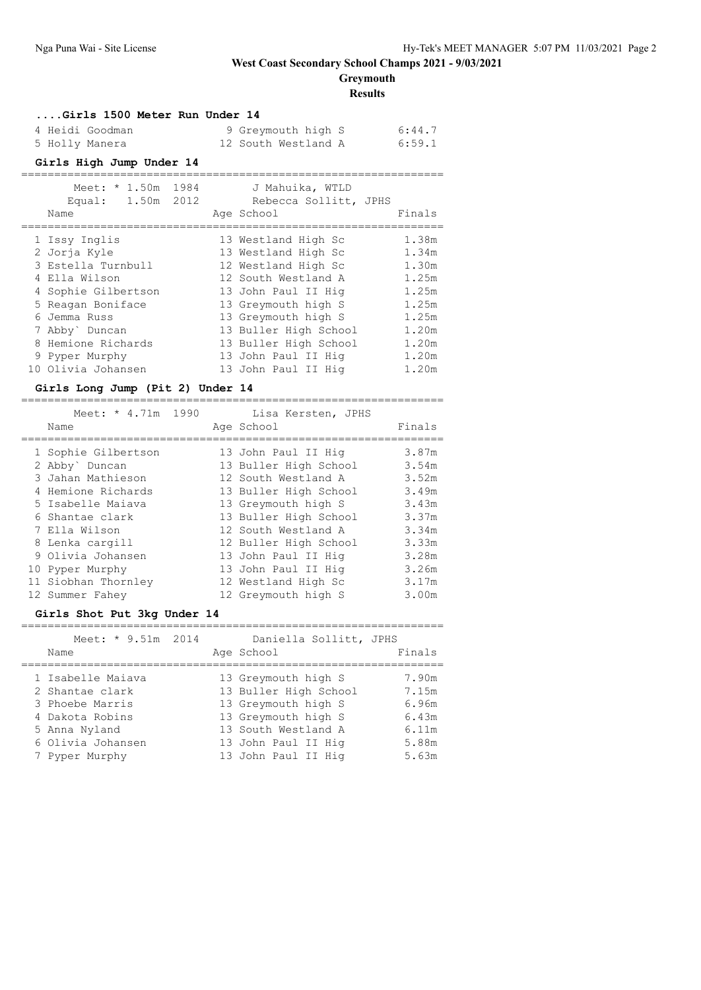**Greymouth**

**Results**

| Girls 1500 Meter Run Under 14 |                     |        |
|-------------------------------|---------------------|--------|
| 4 Heidi Goodman               | 9 Greymouth high S  | 6:44.7 |
| 5 Holly Manera                | 12 South Westland A | 6:59.1 |

#### **Girls High Jump Under 14** ================================================================

| Meet: $* 1.50m$      | 1984 | J Mahuika, WTLD       |        |
|----------------------|------|-----------------------|--------|
| 1.50m 2012<br>Equal: |      | Rebecca Sollitt, JPHS |        |
| Name                 |      | Age School            | Finals |
| 1 Issy Inglis        |      | 13 Westland High Sc   | 1.38m  |
| 2 Jorja Kyle         |      | 13 Westland High Sc   | 1.34m  |
| 3 Estella Turnbull   |      | 12 Westland High Sc   | 1.30m  |
| 4 Ella Wilson        |      | 12 South Westland A   | 1.25m  |
| 4 Sophie Gilbertson  |      | 13 John Paul II Hig   | 1.25m  |
| 5 Reagan Boniface    |      | 13 Greymouth high S   | 1.25m  |
| 6 Jemma Russ         |      | 13 Greymouth high S   | 1.25m  |
| 7 Abby` Duncan       |      | 13 Buller High School | 1.20m  |
| 8 Hemione Richards   |      | 13 Buller High School | 1.20m  |
| 9 Pyper Murphy       |      | 13 John Paul II Hig   | 1.20m  |
| 10 Olivia Johansen   |      | 13 John Paul II Hig   | 1.20m  |

#### **Girls Long Jump (Pit 2) Under 14**

| Meet: * 4.71m 1990<br>Name                                                      | Lisa Kersten, JPHS<br>Age School                                                             | Finals                           |
|---------------------------------------------------------------------------------|----------------------------------------------------------------------------------------------|----------------------------------|
| 1 Sophie Gilbertson<br>2 Abby Duncan<br>3 Jahan Mathieson<br>4 Hemione Richards | 13 John Paul II Hig<br>13 Buller High School<br>12 South Westland A<br>13 Buller High School | 3.87m<br>3.54m<br>3.52m<br>3.49m |
| 5 Isabelle Maiava<br>6 Shantae clark<br>7 Ella Wilson                           | 13 Greymouth high S<br>13 Buller High School<br>12 South Westland A                          | 3.43m<br>3.37m<br>3.34m          |
| 8 Lenka cargill<br>9 Olivia Johansen<br>10 Pyper Murphy                         | 12 Buller High School<br>13 John Paul II Hig<br>13 John Paul II Hig                          | 3.33m<br>3.28m<br>3.26m          |
| 11 Siobhan Thornley<br>12 Summer Fahey                                          | 12 Westland High Sc<br>12 Greymouth high S                                                   | 3.17m<br>3.00m                   |

### **Girls Shot Put 3kg Under 14**

| Meet: * 9.51m 2014<br>Name |  | Daniella Sollitt, JPHS<br>Age School | Finals |
|----------------------------|--|--------------------------------------|--------|
|                            |  |                                      |        |
| 1 Isabelle Maiava          |  | 13 Greymouth high S                  | 7.90m  |
| 2 Shantae clark            |  | 13 Buller High School                | 7.15m  |
| 3 Phoebe Marris            |  | 13 Greymouth high S                  | 6.96m  |
| 4 Dakota Robins            |  | 13 Greymouth high S                  | 6.43m  |
| 5 Anna Nyland              |  | 13 South Westland A                  | 6.11m  |
| 6 Olivia Johansen          |  | 13 John Paul II Hig                  | 5.88m  |
| 7 Pyper Murphy             |  | 13 John Paul II Hig                  | 5.63m  |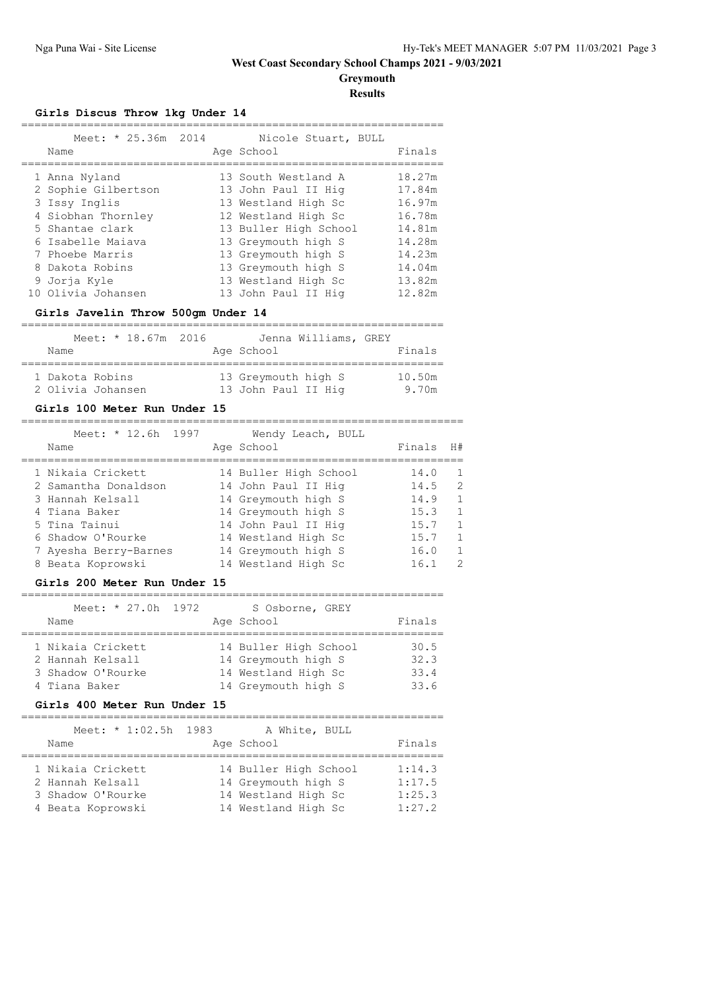**Greymouth**

## **Results**

## **Girls Discus Throw 1kg Under 14**

| Meet: * 25.36m 2014<br>Name | Nicole Stuart, BULL<br>Age School | Finals |
|-----------------------------|-----------------------------------|--------|
| 1 Anna Nyland               | 13 South Westland A               | 18.27m |
| 2 Sophie Gilbertson         | 13 John Paul II Hig               | 17.84m |
| 3 Issy Inglis               | 13 Westland High Sc               | 16.97m |
| 4 Siobhan Thornley          | 12 Westland High Sc               | 16.78m |
| 5 Shantae clark             | 13 Buller High School             | 14.81m |
| 6 Isabelle Maiava           | 13 Greymouth high S               | 14.28m |
| 7 Phoebe Marris             | 13 Greymouth high S               | 14.23m |
| 8 Dakota Robins             | 13 Greymouth high S               | 14.04m |
| 9 Joria Kyle                | 13 Westland High Sc               | 13.82m |
| 10 Olivia Johansen          | 13 John Paul II Hig               | 12.82m |
|                             |                                   |        |

## **Girls Javelin Throw 500gm Under 14**

|                                      |  | Meet: $*$ 18.67m 2016 |                                            | Jenna Williams, GREY |                 |
|--------------------------------------|--|-----------------------|--------------------------------------------|----------------------|-----------------|
| Name                                 |  |                       | Age School                                 |                      | Finals          |
| 1 Dakota Robins<br>2 Olivia Johansen |  |                       | 13 Greymouth high S<br>13 John Paul II Hig |                      | 10.50m<br>9.70m |

#### **Girls 100 Meter Run Under 15**

| Meet: * 12.6h 1997<br>Name | Wendy Leach, BULL<br>Age School | Finals | H#            |
|----------------------------|---------------------------------|--------|---------------|
| 1 Nikaia Crickett          | 14 Buller High School           | 14.0   |               |
| 2 Samantha Donaldson       | 14 John Paul II Hig             | 14.5   | $\mathcal{D}$ |
| 3 Hannah Kelsall           | 14 Greymouth high S             | 14.9   |               |
| 4 Tiana Baker              | 14 Greymouth high S             | 15.3   | 1             |
| 5 Tina Tainui              | 14 John Paul II Hig             | 15.7   |               |
| 6 Shadow O'Rourke          | 14 Westland High Sc             | 15.7   |               |
| 7 Ayesha Berry-Barnes      | 14 Greymouth high S             | 16.0   |               |
| 8 Beata Koprowski          | 14 Westland High Sc             | 16.1   |               |

### **Girls 200 Meter Run Under 15**

| Meet: $* 27.0h 1972$<br>Name                                                |  | S Osborne, GREY<br>Age School                                                              | Finals                       |
|-----------------------------------------------------------------------------|--|--------------------------------------------------------------------------------------------|------------------------------|
| 1 Nikaia Crickett<br>2 Hannah Kelsall<br>3 Shadow O'Rourke<br>4 Tiana Baker |  | 14 Buller High School<br>14 Greymouth high S<br>14 Westland High Sc<br>14 Greymouth high S | 30.5<br>32.3<br>33.4<br>33.6 |

## **Girls 400 Meter Run Under 15**

| Meet: * 1:02.5h 1983                                                            | A White, BULL                                                                              |                                      |
|---------------------------------------------------------------------------------|--------------------------------------------------------------------------------------------|--------------------------------------|
| Name                                                                            | Age School                                                                                 | Finals                               |
| 1 Nikaia Crickett<br>2 Hannah Kelsall<br>3 Shadow O'Rourke<br>4 Beata Koprowski | 14 Buller High School<br>14 Greymouth high S<br>14 Westland High Sc<br>14 Westland High Sc | 1:14.3<br>1:17.5<br>1:25.3<br>1:27.2 |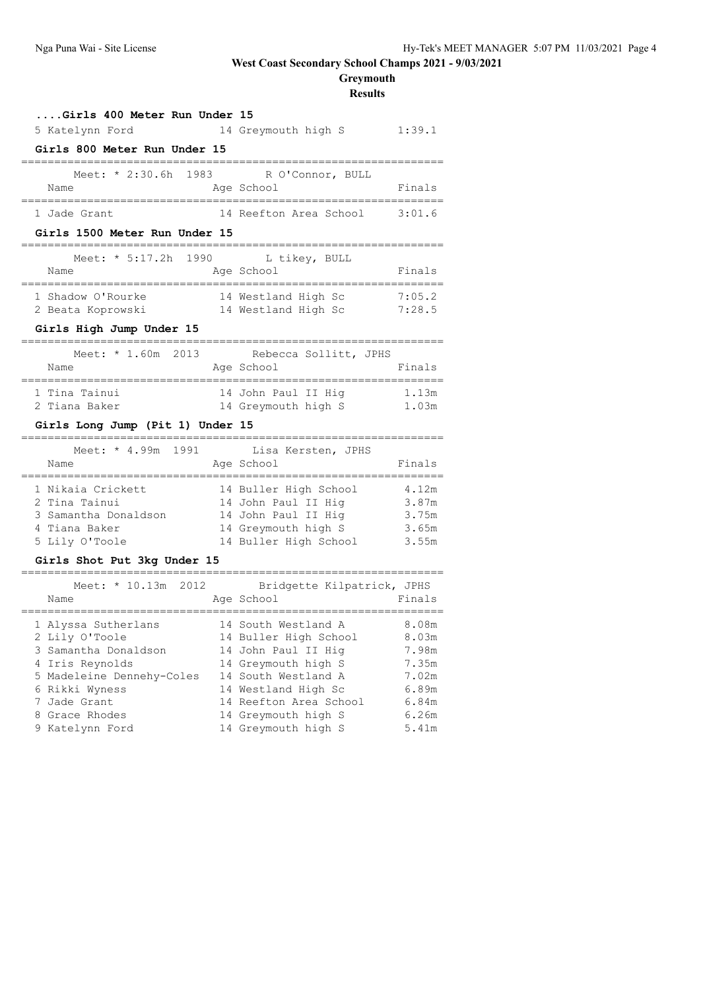# **Greymouth**

**Results**

| Girls 400 Meter Run Under 15                                                                                                                                                         |                                                                                                                                                                                                                                                                                                |
|--------------------------------------------------------------------------------------------------------------------------------------------------------------------------------------|------------------------------------------------------------------------------------------------------------------------------------------------------------------------------------------------------------------------------------------------------------------------------------------------|
| 5 Katelynn Ford                                                                                                                                                                      | 14 Greymouth high S 1:39.1                                                                                                                                                                                                                                                                     |
| Girls 800 Meter Run Under 15                                                                                                                                                         |                                                                                                                                                                                                                                                                                                |
| Meet: * 2:30.6h 1983<br>Name                                                                                                                                                         | R O'Connor, BULL<br>Finals<br>Age School<br>___________________                                                                                                                                                                                                                                |
| 1 Jade Grant                                                                                                                                                                         | 14 Reefton Area School 3:01.6                                                                                                                                                                                                                                                                  |
| Girls 1500 Meter Run Under 15                                                                                                                                                        |                                                                                                                                                                                                                                                                                                |
| Meet: * 5:17.2h 1990<br>Name                                                                                                                                                         | L tikey, BULL<br>Finals<br>Age School                                                                                                                                                                                                                                                          |
| 1 Shadow O'Rourke<br>2 Beata Koprowski<br>Girls High Jump Under 15                                                                                                                   | 14 Westland High Sc<br>7:05.2<br>14 Westland High Sc<br>7:28.5                                                                                                                                                                                                                                 |
|                                                                                                                                                                                      |                                                                                                                                                                                                                                                                                                |
| Meet: * 1.60m 2013<br>Name                                                                                                                                                           | Rebecca Sollitt, JPHS<br>Age School<br>Finals                                                                                                                                                                                                                                                  |
| 1 Tina Tainui<br>2 Tiana Baker                                                                                                                                                       | 14 John Paul II Hig<br>1.13m<br>14 Greymouth high S<br>1.03m                                                                                                                                                                                                                                   |
| Girls Long Jump (Pit 1) Under 15                                                                                                                                                     |                                                                                                                                                                                                                                                                                                |
| Meet: * 4.99m 1991<br>Name<br>===============                                                                                                                                        | Lisa Kersten, JPHS<br>Finals<br>Age School<br>===========================                                                                                                                                                                                                                      |
| 1 Nikaia Crickett<br>2 Tina Tainui<br>3 Samantha Donaldson<br>4 Tiana Baker<br>5 Lily O'Toole                                                                                        | 14 Buller High School<br>4.12m<br>14 John Paul II Hig<br>3.87m<br>14 John Paul II Hig<br>3.75m<br>3.65m<br>14 Greymouth high S<br>14 Buller High School<br>3.55m                                                                                                                               |
| Girls Shot Put 3kg Under 15                                                                                                                                                          |                                                                                                                                                                                                                                                                                                |
| Meet: * 10.13m 2012<br>Name<br>===============================                                                                                                                       | Bridgette Kilpatrick, JPHS<br>Age School<br>Finals<br>================================                                                                                                                                                                                                         |
| 1 Alyssa Sutherlans<br>2 Lily O'Toole<br>3 Samantha Donaldson<br>4 Iris Reynolds<br>5 Madeleine Dennehy-Coles<br>6 Rikki Wyness<br>7 Jade Grant<br>8 Grace Rhodes<br>9 Katelynn Ford | 14 South Westland A<br>8.08m<br>14 Buller High School 8.03m<br>14 John Paul II Hig<br>7.98m<br>14 Greymouth high S<br>7.35m<br>14 South Westland A<br>7.02m<br>14 Westland High Sc<br>6.89m<br>14 Reefton Area School<br>6.84m<br>14 Greymouth high S<br>6.26m<br>14 Greymouth high S<br>5.41m |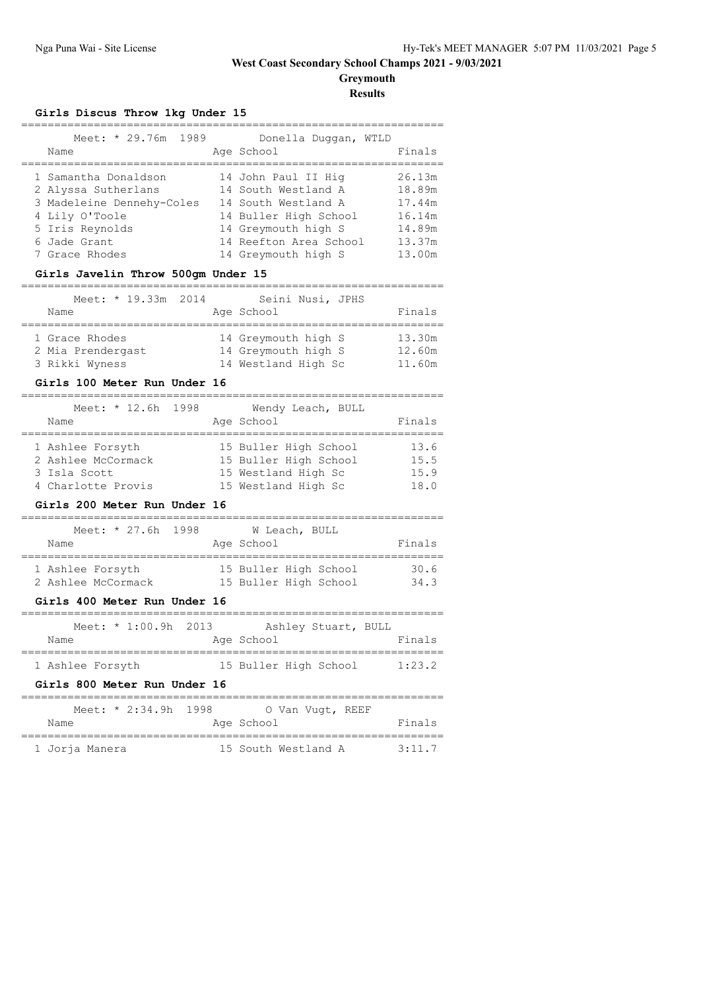**Greymouth Results**

## **Girls Discus Throw 1kg Under 15**

| 1989<br>Meet: * 29.76m<br>Name                                                                                                                  | Donella Duggan, WTLD<br>Age School                                                                                                                                 | Finals                                                             |
|-------------------------------------------------------------------------------------------------------------------------------------------------|--------------------------------------------------------------------------------------------------------------------------------------------------------------------|--------------------------------------------------------------------|
| 1 Samantha Donaldson<br>2 Alyssa Sutherlans<br>3 Madeleine Dennehy-Coles<br>4 Lily O'Toole<br>5 Iris Reynolds<br>6 Jade Grant<br>7 Grace Rhodes | 14 John Paul II Hig<br>14 South Westland A<br>14 South Westland A<br>14 Buller High School<br>14 Greymouth high S<br>14 Reefton Area School<br>14 Greymouth high S | 26.13m<br>18.89m<br>17.44m<br>16.14m<br>14.89m<br>13.37m<br>13.00m |

## **Girls Javelin Throw 500gm Under 15**

| Meet: * 19.33m 2014 | Seini Nusi, JPHS    |        |
|---------------------|---------------------|--------|
| Name                | Age School          | Finals |
| 1 Grace Rhodes      | 14 Greymouth high S | 13.30m |
| 2 Mia Prendergast   | 14 Greymouth high S | 12.60m |
| 3 Rikki Wyness      | 14 Westland High Sc | 11.60m |

#### **Girls 100 Meter Run Under 16**

| Meet: * 12.6h 1998<br>Name |  | Wendy Leach, BULL<br>Age School | Finals |
|----------------------------|--|---------------------------------|--------|
| 1 Ashlee Forsyth           |  | 15 Buller High School           | 13.6   |
| 2 Ashlee McCormack         |  | 15 Buller High School           | 15.5   |
| 3 Isla Scott               |  | 15 Westland High Sc             | 15.9   |
| 4 Charlotte Provis         |  | 15 Westland High Sc             | 18.0   |

#### **Girls 200 Meter Run Under 16**

|      |                    | Meet: * 27.6h 1998 |  |                       | W Leach, BULL |  |        |
|------|--------------------|--------------------|--|-----------------------|---------------|--|--------|
| Name |                    |                    |  | Age School            |               |  | Finals |
|      | 1 Ashlee Forsyth   |                    |  | 15 Buller High School |               |  | 30.6   |
|      | 2 Ashlee McCormack |                    |  | 15 Buller High School |               |  | 34.3   |

## **Girls 400 Meter Run Under 16**

| Meet: * 1:00.9h 2013         | Ashley Stuart, BULL   |        |
|------------------------------|-----------------------|--------|
| Name                         | Age School            | Finals |
| 1 Ashlee Forsyth             | 15 Buller High School | 1:23.2 |
| Girls 800 Meter Run Under 16 |                       |        |
| Meet: $* 2:34.9h 1998$       | O Van Vugt, REEF      |        |
| Name                         | Age School            | Finals |
|                              |                       |        |

1 Jorja Manera 15 South Westland A 3:11.7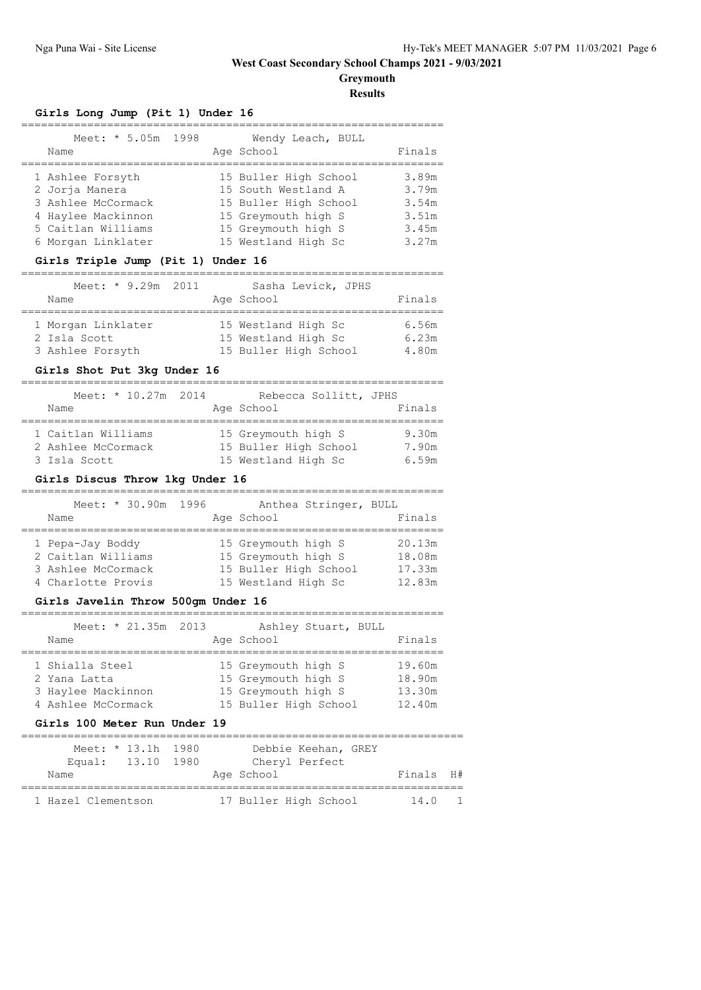**Greymouth**

**Results**

|  |  |  |  |  | Girls Long Jump (Pit 1) Under 16 |  |
|--|--|--|--|--|----------------------------------|--|
|--|--|--|--|--|----------------------------------|--|

| Meet: * 5.05m 1998<br>Name                                                                                                 | Wendy Leach, BULL<br>Age School                                                                                                            | Finals                                             |
|----------------------------------------------------------------------------------------------------------------------------|--------------------------------------------------------------------------------------------------------------------------------------------|----------------------------------------------------|
| 1 Ashlee Forsyth<br>2 Joria Manera<br>3 Ashlee McCormack<br>4 Haylee Mackinnon<br>5 Caitlan Williams<br>6 Morgan Linklater | 15 Buller High School<br>15 South Westland A<br>15 Buller High School<br>15 Greymouth high S<br>15 Greymouth high S<br>15 Westland High Sc | 3.89m<br>3.79m<br>3.54m<br>3.51m<br>3.45m<br>3.27m |
|                                                                                                                            |                                                                                                                                            |                                                    |

## **Girls Triple Jump (Pit 1) Under 16**

| Meet: * 9.29m 2011<br>Name       |  | Sasha Levick, JPHS<br>Age School             | Finals         |
|----------------------------------|--|----------------------------------------------|----------------|
| 1 Morgan Linklater               |  | 15 Westland High Sc                          | 6.56m          |
| 2 Isla Scott<br>3 Ashlee Forsyth |  | 15 Westland High Sc<br>15 Buller High School | 6.23m<br>4.80m |

## **Girls Shot Put 3kg Under 16**

| Meet: $* 10.27m 2014$ | Rebecca Sollitt, JPHS |        |
|-----------------------|-----------------------|--------|
| Name                  | Age School            | Finals |
| 1 Caitlan Williams    | 15 Greymouth high S   | 9.30m  |
| 2 Ashlee McCormack    | 15 Buller High School | 7.90m  |
| 3 Isla Scott          | 15 Westland High Sc   | 6.59m  |

## **Girls Discus Throw 1kg Under 16**

| Name                                                                               | Meet: * 30.90m 1996 | Anthea Stringer, BULL<br>Age School                                                        | Finals                               |
|------------------------------------------------------------------------------------|---------------------|--------------------------------------------------------------------------------------------|--------------------------------------|
| 1 Pepa-Jay Boddy<br>2 Caitlan Williams<br>3 Ashlee McCormack<br>4 Charlotte Provis |                     | 15 Greymouth high S<br>15 Greymouth high S<br>15 Buller High School<br>15 Westland High Sc | 20.13m<br>18.08m<br>17.33m<br>12.83m |

## **Girls Javelin Throw 500gm Under 16**

| Meet: * 21.35m 2013<br>Name | Ashley Stuart, BULL<br>Age School | Finals |
|-----------------------------|-----------------------------------|--------|
| 1 Shialla Steel             | 15 Greymouth high S               | 19.60m |
| 2 Yana Latta                | 15 Greymouth high S               | 18.90m |
| 3 Haylee Mackinnon          | 15 Greymouth high S               | 13.30m |
| 4 Ashlee McCormack          | 15 Buller High School             | 12.40m |

### **Girls 100 Meter Run Under 19**

|                    | Meet: * 13.1h 1980 | Debbie Keehan, GREY   |           |  |
|--------------------|--------------------|-----------------------|-----------|--|
|                    | Equal: 13.10 1980  | Cheryl Perfect        |           |  |
| Name               |                    | Age School            | Finals H# |  |
|                    |                    |                       |           |  |
| 1 Hazel Clementson |                    | 17 Buller High School | 14.0      |  |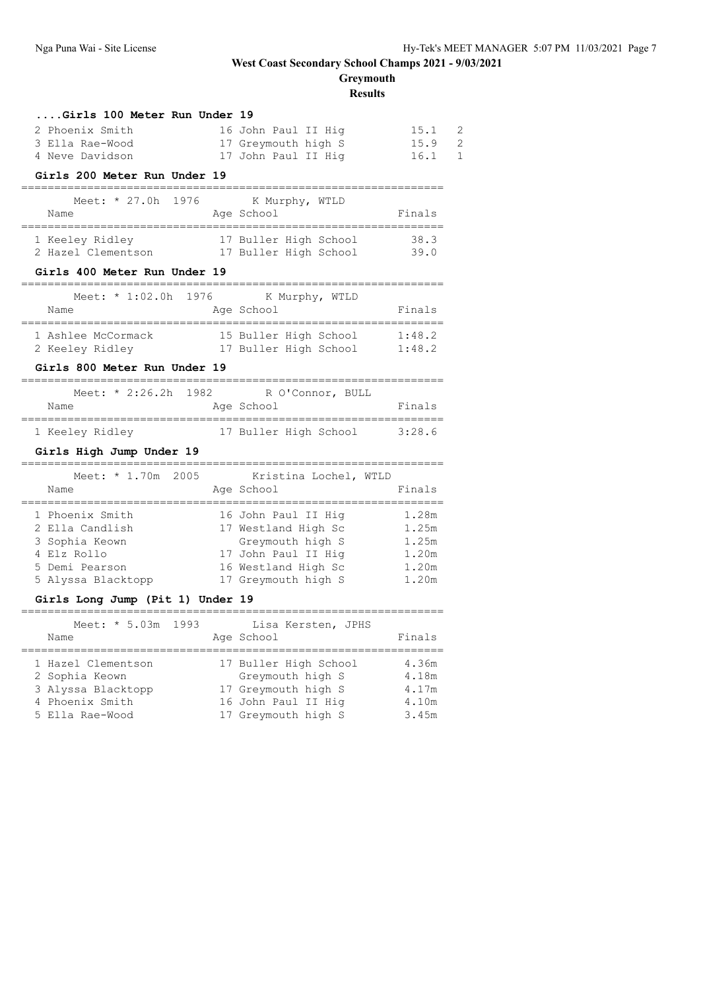**Greymouth**

**Results**

| Girls 100 Meter Run Under 19                       |                                             |                        |
|----------------------------------------------------|---------------------------------------------|------------------------|
| 2 Phoenix Smith                                    | 16 John Paul II Hig                         | 15.1<br>2              |
| 3 Ella Rae-Wood                                    | 17 Greymouth high S                         | $\overline{c}$<br>15.9 |
| 4 Neve Davidson                                    | 17 John Paul II Hig                         | 16.1<br>1              |
| Girls 200 Meter Run Under 19                       |                                             |                        |
| 1976<br>Meet: * 27.0h                              | K Murphy, WTLD                              |                        |
| Name                                               | Age School                                  | Finals                 |
| ___________________________________                | -------------------------                   |                        |
| 1 Keeley Ridley                                    | 17 Buller High School                       | 38.3                   |
| 2 Hazel Clementson 17 Buller High School           |                                             | 39.0                   |
| Girls 400 Meter Run Under 19                       |                                             |                        |
| Meet: * 1:02.0h 1976                               | K Murphy, WTLD                              |                        |
| Name                                               | Age School                                  | Finals                 |
| -----------------------------------                | ----------------------------                |                        |
| 1 Ashlee McCormack                                 | 15 Buller High School                       | 1:48.2                 |
| 2 Keeley Ridley                                    | 17 Buller High School 1:48.2                |                        |
| Girls 800 Meter Run Under 19                       |                                             |                        |
| Meet: * 2:26.2h 1982 R O'Connor, BULL              |                                             |                        |
| Name                                               | Age School                                  | Finals                 |
|                                                    |                                             |                        |
| 1 Keeley Ridley                                    | 17 Buller High School                       | 3:28.6                 |
| Girls High Jump Under 19<br>=================      | ._________________________________          |                        |
| Meet: * 1.70m 2005                                 | Kristina Lochel, WTLD                       |                        |
| Name                                               | Age School                                  | Finals                 |
| ===============================<br>1 Phoenix Smith | .___________________<br>16 John Paul II Hiq | 1.28m                  |
|                                                    |                                             |                        |
|                                                    |                                             |                        |
| 2 Ella Candlish                                    | 17 Westland High Sc                         | 1.25m                  |
| 3 Sophia Keown<br>4 Elz Rollo                      | Greymouth high S<br>17 John Paul II Hig     | 1.25m<br>1.20m         |
| 5 Demi Pearson                                     | 16 Westland High Sc                         | 1.20m                  |
| 5 Alyssa Blacktopp                                 | 17 Greymouth high S                         | 1.20m                  |
| Girls Long Jump (Pit 1) Under 19                   |                                             |                        |
|                                                    |                                             |                        |
| Meet: * 5.03m 1993                                 | Lisa Kersten, JPHS                          |                        |
| Name                                               | Age School<br>________________________      | Finals                 |
| 1 Hazel Clementson                                 | 17 Buller High School                       | 4.36m                  |
| 2 Sophia Keown                                     | Greymouth high S                            | 4.18m                  |
| 3 Alyssa Blacktopp                                 | 17 Greymouth high S                         | 4.17m                  |
| 4 Phoenix Smith                                    | 16 John Paul II Hig                         | 4.10m                  |
| 5 Ella Rae-Wood                                    | 17 Greymouth high S                         | 3.45m                  |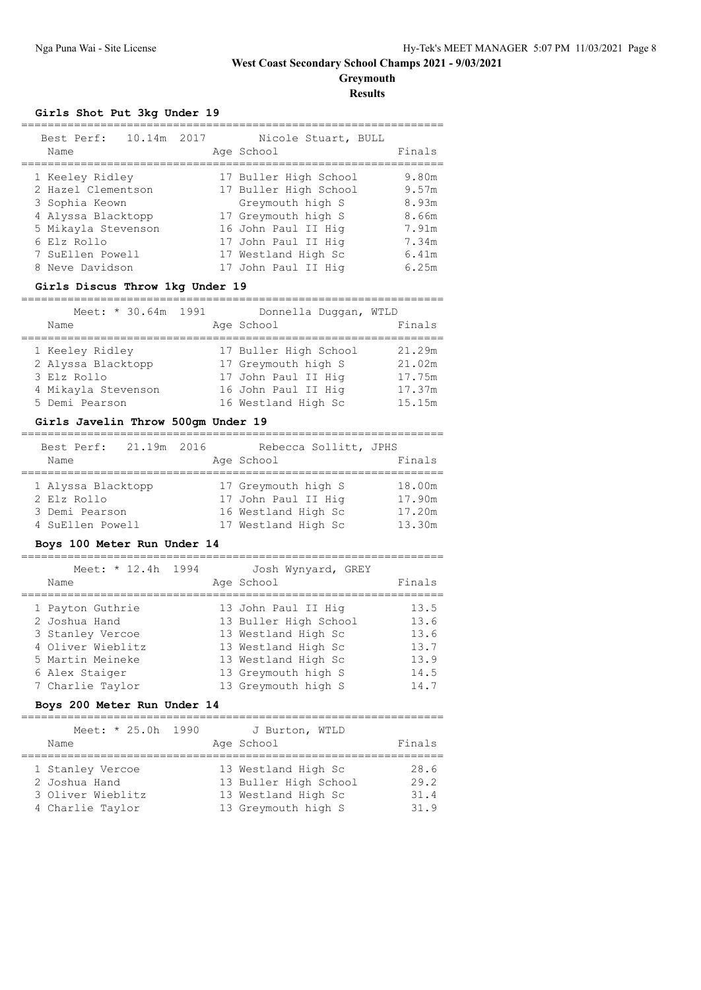# **Greymouth**

**Results**

## **Girls Shot Put 3kg Under 19**

| Best Perf:<br>Name                                                                                                                                         | 10.14m 2017 |  | Nicole Stuart, BULL<br>Age School                                                                                                                                                     | Finals                                                               |
|------------------------------------------------------------------------------------------------------------------------------------------------------------|-------------|--|---------------------------------------------------------------------------------------------------------------------------------------------------------------------------------------|----------------------------------------------------------------------|
| 1 Keeley Ridley<br>2 Hazel Clementson<br>3 Sophia Keown<br>4 Alyssa Blacktopp<br>5 Mikayla Stevenson<br>6 Elz Rollo<br>7 SuEllen Powell<br>8 Neve Davidson |             |  | 17 Buller High School<br>17 Buller High School<br>Greymouth high S<br>17 Greymouth high S<br>16 John Paul II Hig<br>17 John Paul II Hig<br>17 Westland High Sc<br>17 John Paul II Hig | 9.80m<br>9.57m<br>8.93m<br>8.66m<br>7.91m<br>7.34m<br>6.41m<br>6.25m |
|                                                                                                                                                            |             |  |                                                                                                                                                                                       |                                                                      |

#### **Girls Discus Throw 1kg Under 19**

#### ================================================================

| Meet: * 30.64m 1991 | Donnella Duqqan, WTLD |        |
|---------------------|-----------------------|--------|
| Name                | Age School            | Finals |
|                     |                       |        |
| 1 Keeley Ridley     | 17 Buller High School | 21.29m |
| 2 Alyssa Blacktopp  | 17 Greymouth high S   | 21.02m |
| 3 Elz Rollo         | 17 John Paul II Hig   | 17.75m |
| 4 Mikayla Stevenson | 16 John Paul II Hig   | 17.37m |
| 5 Demi Pearson      | 16 Westland High Sc   | 15.15m |

### **Girls Javelin Throw 500gm Under 19**

| Best Perf: 21.19m 2016<br>Name |  | Rebecca Sollitt, JPHS<br>Age School | Finals |
|--------------------------------|--|-------------------------------------|--------|
| 1 Alyssa Blacktopp             |  | 17 Greymouth high S                 | 18.00m |
| 2 Elz Rollo                    |  | 17 John Paul II Hiq                 | 17.90m |
| 3 Demi Pearson                 |  | 16 Westland High Sc                 | 17.20m |
| 4 SuEllen Powell               |  | 17 Westland High Sc                 | 13.30m |

#### **Boys 100 Meter Run Under 14**

| Meet: * 12.4h 1994<br>Josh Wynyard, GREY<br>Age School<br>Name<br>13 John Paul II Hig<br>1 Payton Guthrie<br>13 Buller High School<br>2 Joshua Hand<br>13 Westland High Sc<br>3 Stanley Vercoe<br>4 Oliver Wieblitz<br>13 Westland High Sc<br>13 Westland High Sc<br>5 Martin Meineke<br>13 Greymouth high S<br>6 Alex Staiger |  |  |                                                      |
|--------------------------------------------------------------------------------------------------------------------------------------------------------------------------------------------------------------------------------------------------------------------------------------------------------------------------------|--|--|------------------------------------------------------|
|                                                                                                                                                                                                                                                                                                                                |  |  | Finals                                               |
| 7 Charlie Taylor<br>13 Greymouth high S                                                                                                                                                                                                                                                                                        |  |  | 13.5<br>13.6<br>13.6<br>13.7<br>13.9<br>14.5<br>14.7 |

## **Boys 200 Meter Run Under 14**

| Meet: * 25.0h 1990<br>Name                                                 |  | J Burton, WTLD<br>Age School                                                               | Finals                       |
|----------------------------------------------------------------------------|--|--------------------------------------------------------------------------------------------|------------------------------|
| 1 Stanley Vercoe<br>2 Joshua Hand<br>3 Oliver Wieblitz<br>4 Charlie Taylor |  | 13 Westland High Sc<br>13 Buller High School<br>13 Westland High Sc<br>13 Greymouth high S | 28.6<br>29.2<br>31.4<br>31.9 |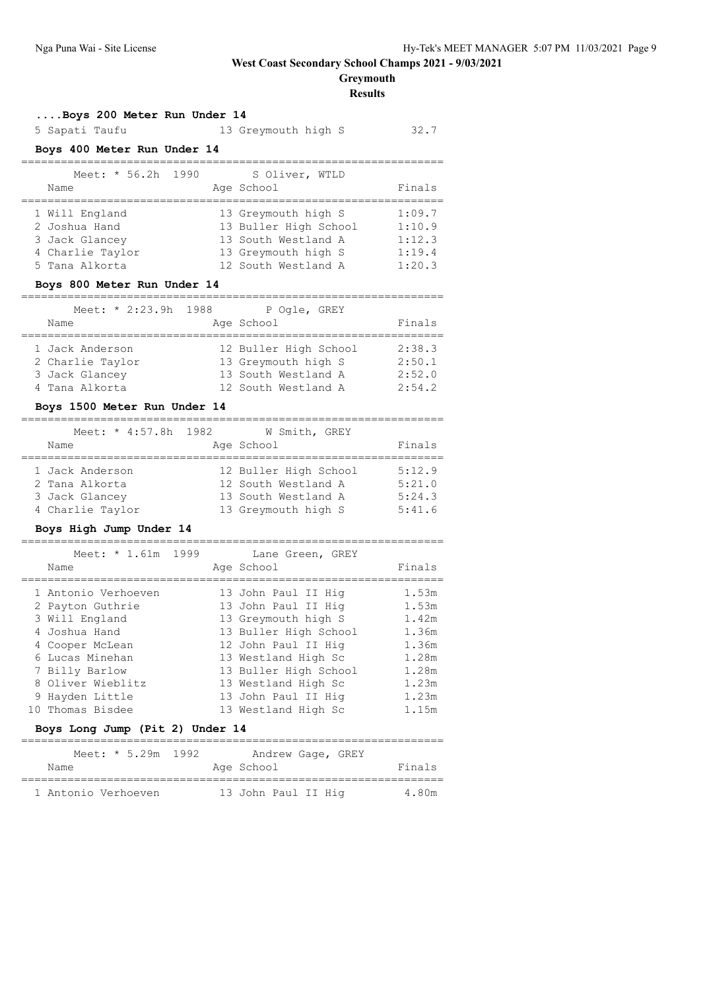## **Greymouth**

### **Results**

#### **....Boys 200 Meter Run Under 14**

| 5 Sapati Taufu                                                                                                         | 13 Greymouth high S                                                                                               | 32.7                                           |
|------------------------------------------------------------------------------------------------------------------------|-------------------------------------------------------------------------------------------------------------------|------------------------------------------------|
| Boys 400 Meter Run Under 14                                                                                            |                                                                                                                   |                                                |
| Meet: * 56.2h 1990<br>Name                                                                                             | S Oliver, WTLD<br>Age School                                                                                      | Finals                                         |
| 1 Will England<br>2 Joshua Hand<br>3 Jack Glancey<br>4 Charlie Taylor<br>5 Tana Alkorta<br>Boys 800 Meter Run Under 14 | 13 Greymouth high S<br>13 Buller High School<br>13 South Westland A<br>13 Greymouth high S<br>12 South Westland A | 1:09.7<br>1:10.9<br>1:12.3<br>1:19.4<br>1:20.3 |
| Name                                                                                                                   | Meet: * 2:23.9h 1988 P Ogle, GREY<br>Age School                                                                   | Finals                                         |
| 1 Jack Anderson<br>2 Charlie Taylor                                                                                    | 12 Buller High School<br>13 Greymouth high S                                                                      | 2:38.3<br>2:50.1                               |

### **Boys 1500 Meter Run Under 14**

| Meet: * 4:57.8h 1982<br>Name | W Smith, GREY<br>Age School | Finals |
|------------------------------|-----------------------------|--------|
| 1 Jack Anderson              | 12 Buller High School       | 5:12.9 |
| 2 Tana Alkorta               | 12 South Westland A         | 5:21.0 |
| 3 Jack Glancey               | 13 South Westland A         | 5:24.3 |
| 4 Charlie Taylor             | 13 Greymouth high S         | 5:41.6 |

 3 Jack Glancey 13 South Westland A 2:52.0 4 Tana Alkorta 12 South Westland A 2:54.2

#### **Boys High Jump Under 14**

### ================================================================ Meet: \* 1.61m 1999 Lane Green, GREY Name Age School Finals ================================================================ 1 Antonio Verhoeven 13 John Paul II Hig 1.53m 2 Payton Guthrie 13 John Paul II Hig 1.53m 3 Will England 13 Greymouth high S 1.42m 4 Joshua Hand 13 Buller High School 1.36m 4 Cooper McLean 12 John Paul II Hig 1.36m 6 Lucas Minehan 13 Westland High Sc 1.28m 7 Billy Barlow 13 Buller High School 1.28m 8 Oliver Wieblitz 13 Westland High Sc 1.23m 9 Hayden Little 13 John Paul II Hig 1.23m 10 Thomas Bisdee 13 Westland High Sc 1.15m

#### **Boys Long Jump (Pit 2) Under 14**

| Meet: $* 5.29m 1992$<br>Name | Andrew Gage, GREY<br>Age School | Finals |
|------------------------------|---------------------------------|--------|
| 1 Antonio Verhoeven          | 13 John Paul II Hiq             | 4.80m  |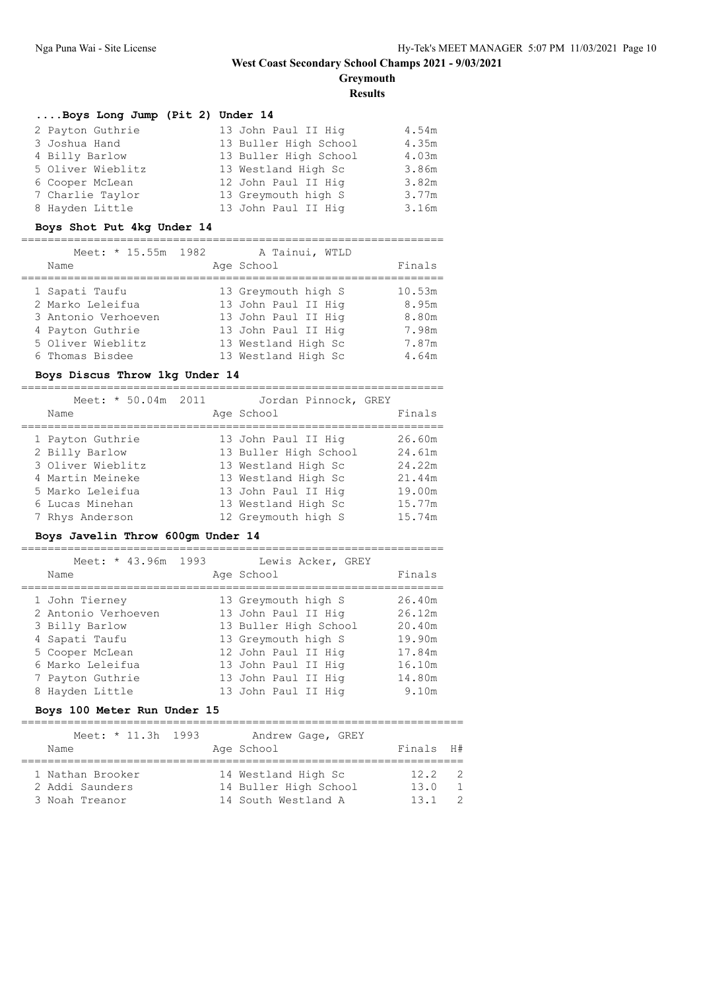**Greymouth**

**Results**

### **....Boys Long Jump (Pit 2) Under 14**

| 2 Payton Guthrie  | 13 John Paul II Hig   | 4.54m |
|-------------------|-----------------------|-------|
| 3 Joshua Hand     | 13 Buller High School | 4.35m |
| 4 Billy Barlow    | 13 Buller High School | 4.03m |
| 5 Oliver Wieblitz | 13 Westland High Sc   | 3.86m |
| 6 Cooper McLean   | 12 John Paul II Hig   | 3.82m |
| 7 Charlie Taylor  | 13 Greymouth high S   | 3.77m |
| 8 Hayden Little   | 13 John Paul II Hig   | 3.16m |

### **Boys Shot Put 4kg Under 14**

#### ================================================================

| Meet: * 15.55m 1982 | A Tainui, WTLD      |        |
|---------------------|---------------------|--------|
| Name                | Age School          | Finals |
| 1 Sapati Taufu      | 13 Greymouth high S | 10.53m |
| 2 Marko Leleifua    | 13 John Paul II Hig | 8.95m  |
| 3 Antonio Verhoeven | 13 John Paul II Hig | 8.80m  |
| 4 Payton Guthrie    | 13 John Paul II Hig | 7.98m  |
| 5 Oliver Wieblitz   | 13 Westland High Sc | 7.87m  |
| 6 Thomas Bisdee     | 13 Westland High Sc | 4.64m  |

## **Boys Discus Throw 1kg Under 14**

| Meet: * 50.04m 2011<br>Name | Jordan Pinnock, GREY<br>Age School | Finals |
|-----------------------------|------------------------------------|--------|
|                             |                                    |        |
| 1 Payton Guthrie            | 13 John Paul II Hig                | 26.60m |
| 2 Billy Barlow              | 13 Buller High School              | 24.61m |
| 3 Oliver Wieblitz           | 13 Westland High Sc                | 24.22m |
| 4 Martin Meineke            | 13 Westland High Sc                | 21.44m |
| 5 Marko Leleifua            | 13 John Paul II Hig                | 19.00m |
| 6 Lucas Minehan             | 13 Westland High Sc                | 15.77m |
| 7 Rhys Anderson             | 12 Greymouth high S                | 15.74m |

## **Boys Javelin Throw 600gm Under 14**

| Meet: * 43.96m<br>Name | 1993<br>Lewis Acker, GREY<br>Age School | Finals |
|------------------------|-----------------------------------------|--------|
| 1 John Tierney         | 13 Greymouth high S                     | 26.40m |
| 2 Antonio Verhoeven    | 13 John Paul II Hig                     | 26.12m |
| 3 Billy Barlow         | 13 Buller High School                   | 20.40m |
| 4 Sapati Taufu         | 13 Greymouth high S                     | 19.90m |
| 5 Cooper McLean        | 12 John Paul II Hig                     | 17.84m |
| 6 Marko Leleifua       | 13 John Paul II Hig                     | 16.10m |
| 7 Payton Guthrie       | 13 John Paul II Hig                     | 14.80m |
| 8 Hayden Little        | 13 John Paul II Hig                     | 9.10m  |

## **Boys 100 Meter Run Under 15**

| Meet: * 11.3h 1993 |  | Andrew Gage, GREY     |           |                |
|--------------------|--|-----------------------|-----------|----------------|
| Name               |  | Age School            | Finals H# |                |
|                    |  |                       |           |                |
| 1 Nathan Brooker   |  | 14 Westland High Sc   | 12.2      | $\overline{2}$ |
| 2 Addi Saunders    |  | 14 Buller High School | 13.0      |                |
| 3 Noah Treanor     |  | 14 South Westland A   | 13 1      | $\overline{2}$ |
|                    |  |                       |           |                |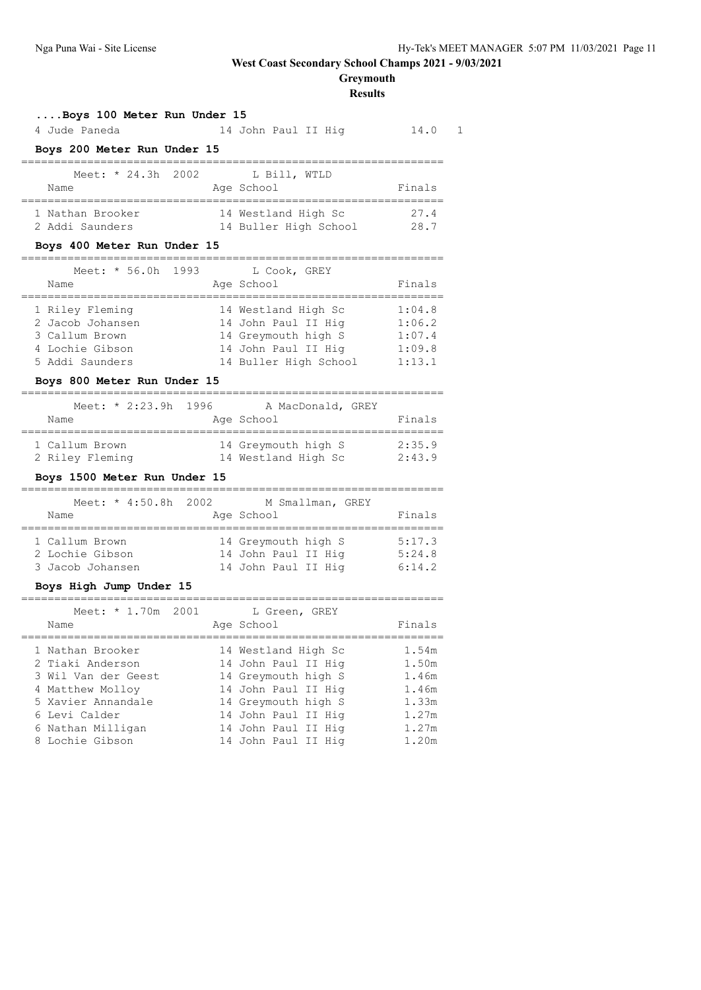# **Greymouth**

**Results**

#### **....Boys 100 Meter Run Under 15**

| 4 Jude Paneda                                                                               | 14 John Paul II Hig                                                                                                             | 14.0                             |
|---------------------------------------------------------------------------------------------|---------------------------------------------------------------------------------------------------------------------------------|----------------------------------|
| Boys 200 Meter Run Under 15                                                                 |                                                                                                                                 |                                  |
| Meet: $*$ 24.3h 2002 L Bill, WTLD<br>Name                                                   | Age School                                                                                                                      | Finals                           |
| 1 Nathan Brooker<br>2 Addi Saunders                                                         | 14 Westland High Sc<br>14 Buller High School 28.7                                                                               | 27.4                             |
| Boys 400 Meter Run Under 15                                                                 |                                                                                                                                 |                                  |
| Meet: * 56.0h 1993<br>Name                                                                  | L Cook, GREY<br>Age School                                                                                                      | Finals                           |
| 1 Riley Fleming<br>2 Jacob Johansen<br>3 Callum Brown<br>4 Lochie Gibson<br>5 Addi Saunders | 14 Westland High Sc<br>14 John Paul II Hig<br>14 Greymouth high S<br>14 John Paul II Hig 1:09.8<br>14 Buller High School 1:13.1 | 1:04.8<br>1:06.2<br>1:07.4       |
| Boys 800 Meter Run Under 15                                                                 |                                                                                                                                 |                                  |
| Name                                                                                        | Meet: * 2:23.9h 1996 A MacDonald, GREY<br>Age School                                                                            | Finals                           |
| 1 Callum Brown<br>2 Riley Fleming                                                           | 14 Greymouth high S<br>14 Westland High Sc                                                                                      | 2:35.9<br>2:43.9                 |
| Boys 1500 Meter Run Under 15                                                                |                                                                                                                                 |                                  |
| Name                                                                                        | Meet: * 4:50.8h 2002 M Smallman, GREY<br>Age School                                                                             | Finals                           |
| 1 Callum Brown<br>2 Lochie Gibson<br>3 Jacob Johansen                                       | 14 Greymouth high S 5:17.3<br>14 John Paul II Hig 5:24.8<br>14 John Paul II Hig 6:14.2                                          |                                  |
| Boys High Jump Under 15                                                                     |                                                                                                                                 |                                  |
| Meet: * 1.70m 2001<br>Name                                                                  | L Green, GREY<br>Age School                                                                                                     | Finals                           |
| 1 Nathan Brooker<br>2 Tiaki Anderson<br>3 Wil Van der Geest<br>4 Matthew Molloy             | 14 Westland High Sc<br>14 John Paul II Hig<br>14 Greymouth high S<br>14 John Paul II Hig                                        | 1.54m<br>1.50m<br>1.46m<br>1.46m |
| 5 Xavier Annandale<br>6 Levi Calder                                                         | 14 Greymouth high S<br>14 John Paul II Hig<br>14 John Paul II Hiq                                                               | 1.33m<br>1.27m<br>1.27m          |

8 Lochie Gibson 14 John Paul II Hig 1.20m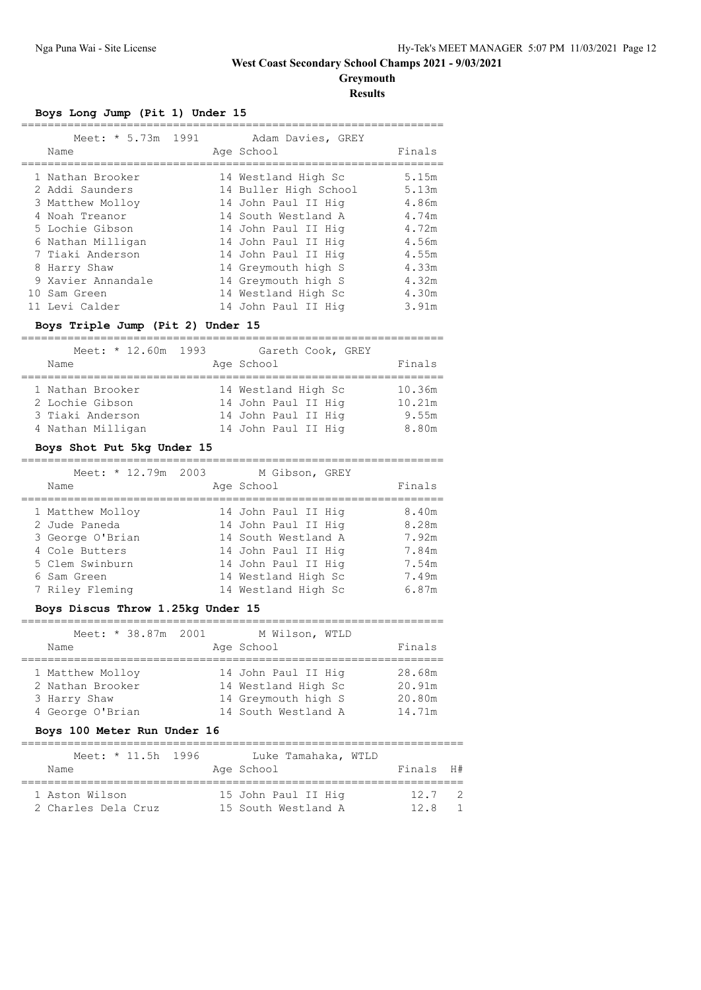**Greymouth**

**Results**

## **Boys Long Jump (Pit 1) Under 15**

| Meet: * 5.73m 1991<br>Name |  | Adam Davies, GREY<br>Age School | Finals |
|----------------------------|--|---------------------------------|--------|
| 1 Nathan Brooker           |  | 14 Westland High Sc             | 5.15m  |
| 2 Addi Saunders            |  | 14 Buller High School           | 5.13m  |
| 3 Matthew Molloy           |  | 14 John Paul II Hig             | 4.86m  |
| 4 Noah Treanor             |  | 14 South Westland A             | 4.74m  |
| 5 Lochie Gibson            |  | 14 John Paul II Hig             | 4.72m  |
| 6 Nathan Milligan          |  | 14 John Paul II Hig             | 4.56m  |
| 7 Tiaki Anderson           |  | 14 John Paul II Hig             | 4.55m  |
| 8 Harry Shaw               |  | 14 Greymouth high S             | 4.33m  |
| 9 Xavier Annandale         |  | 14 Greymouth high S             | 4.32m  |
| 10 Sam Green               |  | 14 Westland High Sc             | 4.30m  |
| 11 Levi Calder             |  | 14 John Paul II Hig             | 3.91m  |

### **Boys Triple Jump (Pit 2) Under 15**

| Meet: * 12.60m 1993<br>Name         | Gareth Cook, GREY<br>Age School            | Finals           |
|-------------------------------------|--------------------------------------------|------------------|
| 1 Nathan Brooker<br>2 Lochie Gibson | 14 Westland High Sc<br>14 John Paul II Hig | 10.36m<br>10.21m |
| 3 Tiaki Anderson                    | 14 John Paul II Hig                        | 9.55m            |
| 4 Nathan Milligan                   | 14 John Paul II Hig                        | 8.80m            |

#### **Boys Shot Put 5kg Under 15**

#### ================================================================  $M$ eet:  $*$  12.79m 2003 M Gibson, GREY

| MEEL: ^ IZ./MII ZUUJ | M GIDSON, GKEI      |        |
|----------------------|---------------------|--------|
| Name                 | Age School          | Finals |
| 1 Matthew Molloy     | 14 John Paul II Hig | 8.40m  |
| 2 Jude Paneda        | 14 John Paul II Hig | 8.28m  |
| 3 George O'Brian     | 14 South Westland A | 7.92m  |
| 4 Cole Butters       | 14 John Paul II Hig | 7.84m  |
| 5 Clem Swinburn      | 14 John Paul II Hig | 7.54m  |
| 6 Sam Green          | 14 Westland High Sc | 7.49m  |
| 7 Riley Fleming      | 14 Westland High Sc | 6.87m  |

## **Boys Discus Throw 1.25kg Under 15**

| Meet: * 38.87m 2001<br>Name                                              | M Wilson, WTLD<br>Age School                                                             | Finals                               |
|--------------------------------------------------------------------------|------------------------------------------------------------------------------------------|--------------------------------------|
| 1 Matthew Molloy<br>2 Nathan Brooker<br>3 Harry Shaw<br>4 George O'Brian | 14 John Paul II Hig<br>14 Westland High Sc<br>14 Greymouth high S<br>14 South Westland A | 28.68m<br>20.91m<br>20.80m<br>14.71m |

## **Boys 100 Meter Run Under 16**

| Meet: * 11.5h 1996  | Luke Tamahaka, WTLD |           |                |
|---------------------|---------------------|-----------|----------------|
| Name                | Age School          | Finals H# |                |
|                     |                     |           |                |
| 1 Aston Wilson      | 15 John Paul II Hig | 12.7      | $\overline{2}$ |
| 2 Charles Dela Cruz | 15 South Westland A | 12 R      |                |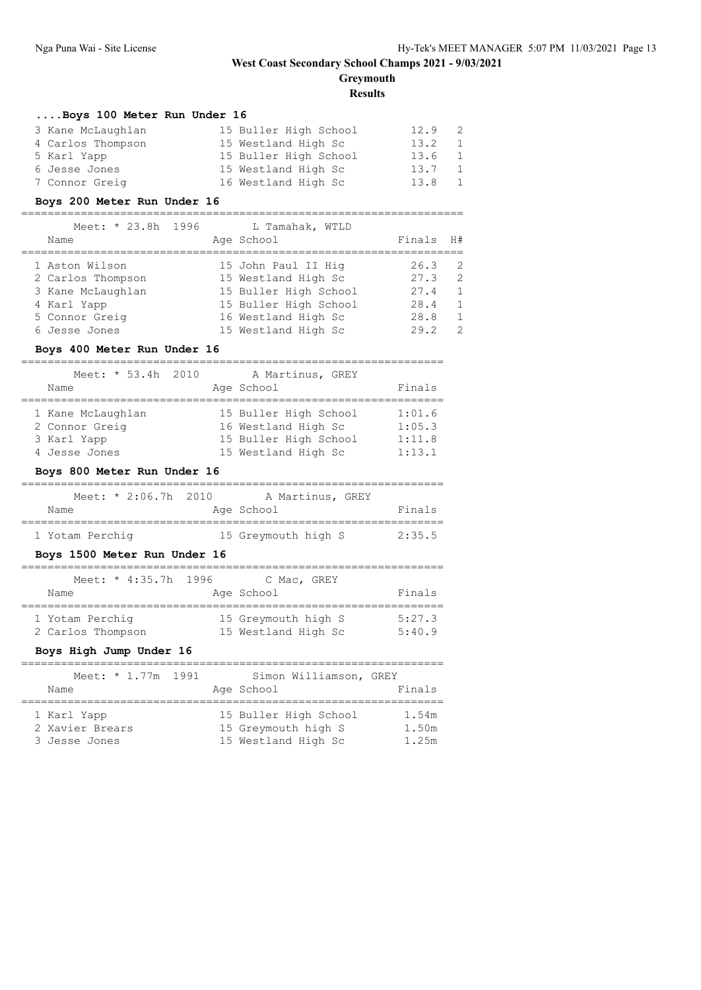# **Greymouth**

**Results**

#### **....Boys 100 Meter Run Under 16**

| 3 Kane McLaughlan | 15 Buller High School | 12.9 | - 2            |
|-------------------|-----------------------|------|----------------|
| 4 Carlos Thompson | 15 Westland High Sc   | 13.2 | $\overline{1}$ |
| 5 Karl Yapp       | 15 Buller High School | 13.6 | $\overline{1}$ |
| 6 Jesse Jones     | 15 Westland High Sc   | 13.7 | - 1            |
| 7 Connor Greig    | 16 Westland High Sc   | 13.8 | - 1            |

#### **Boys 200 Meter Run Under 16**

#### ===================================================================

| Meet: * 23.8h 1996<br>Name | L Tamahak, WTLD<br>Age School | Finals | H#             |
|----------------------------|-------------------------------|--------|----------------|
| 1 Aston Wilson             | 15 John Paul II Hig           | 26.3   | - 2            |
| 2 Carlos Thompson          | 15 Westland High Sc           | 27.3   | - 2            |
| 3 Kane McLaughlan          | 15 Buller High School         | 27.4   | $\overline{1}$ |
| 4 Karl Yapp                | 15 Buller High School         | 28.4   | $\overline{1}$ |
| 5 Connor Greig             | 16 Westland High Sc           | 28.8   | $\overline{1}$ |
| 6 Jesse Jones              | 15 Westland High Sc           | 29.2   | $\overline{2}$ |

#### **Boys 400 Meter Run Under 16**

### ================================================================ Meet: \* 53.4h 2010 A Martinus, GREY Name Reserve Age School Rinals

| 1 Kane McLaughlan | 15 Buller High School | 1:01.6 |
|-------------------|-----------------------|--------|
| 2 Connor Greig    | 16 Westland High Sc   | 1:05.3 |
| 3 Karl Yapp       | 15 Buller High School | 1:11.8 |
| 4 Jesse Jones     | 15 Westland High Sc   | 1:13.1 |

#### **Boys 800 Meter Run Under 16**

| Meet: $* 2:06.7h 2010$ |                     | A Martinus, GREY |        |
|------------------------|---------------------|------------------|--------|
| Name                   | Age School          |                  | Finals |
| 1 Yotam Perchiq        | 15 Greymouth high S |                  | 2:35.5 |

### **Boys 1500 Meter Run Under 16**

| Meet: * 4:35.7h 1996                 | C Mac, GREY                                |                  |
|--------------------------------------|--------------------------------------------|------------------|
| Name                                 | Age School                                 | Finals           |
| 1 Yotam Perchiq<br>2 Carlos Thompson | 15 Greymouth high S<br>15 Westland High Sc | 5:27.3<br>5:40.9 |

### **Boys High Jump Under 16**

| Meet: * 1.77m 1991<br>Name                      |  | Simon Williamson, GREY<br>Age School                                | Finals                  |
|-------------------------------------------------|--|---------------------------------------------------------------------|-------------------------|
| 1 Karl Yapp<br>2 Xavier Brears<br>3 Jesse Jones |  | 15 Buller High School<br>15 Greymouth high S<br>15 Westland High Sc | 1.54m<br>1.50m<br>1.25m |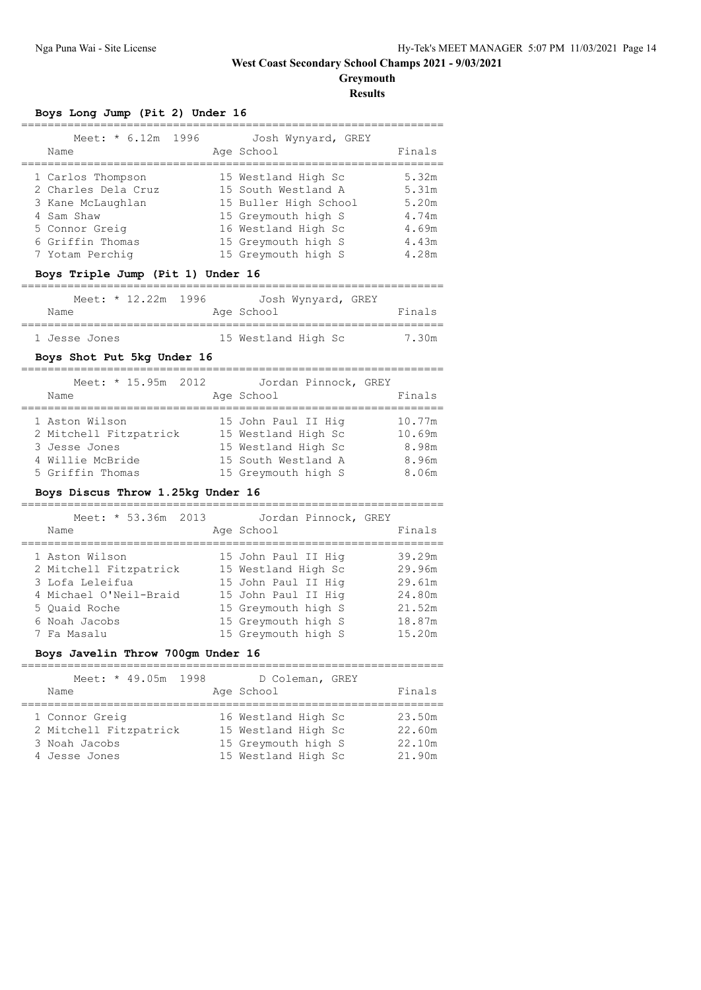**Greymouth**

**Results**

## **Boys Long Jump (Pit 2) Under 16**

| Meet: * 6.12m 1996<br>Name                                    |  | Josh Wynyard, GREY<br>Age School                                    | Finals                  |
|---------------------------------------------------------------|--|---------------------------------------------------------------------|-------------------------|
| 1 Carlos Thompson<br>2 Charles Dela Cruz<br>3 Kane McLaughlan |  | 15 Westland High Sc<br>15 South Westland A<br>15 Buller High School | 5.32m<br>5.31m<br>5.20m |
| 4 Sam Shaw<br>5 Connor Greig                                  |  | 15 Greymouth high S<br>16 Westland High Sc                          | 4.74m<br>4.69m          |
| 6 Griffin Thomas<br>7 Yotam Perchig                           |  | 15 Greymouth high S<br>15 Greymouth high S                          | 4.43m<br>4.28m          |
|                                                               |  |                                                                     |                         |

## **Boys Triple Jump (Pit 1) Under 16**

| Meet: $* 12.22m 1996$ | Josh Wynyard, GREY  |        |
|-----------------------|---------------------|--------|
| Name                  | Age School          | Finals |
| 1 Jesse Jones         | 15 Westland High Sc | 7.30m  |

## **Boys Shot Put 5kg Under 16**

| Meet: * 15.95m 2012<br>Name              | Jordan Pinnock, GREY<br>Age School         | Finals           |
|------------------------------------------|--------------------------------------------|------------------|
| 1 Aston Wilson<br>2 Mitchell Fitzpatrick | 15 John Paul II Hig<br>15 Westland High Sc | 10.77m<br>10.69m |
| 3 Jesse Jones                            | 15 Westland High Sc                        | 8.98m            |
| 4 Willie McBride                         | 15 South Westland A                        | 8.96m            |
| 5 Griffin Thomas                         | 15 Greymouth high S                        | 8.06m            |

## **Boys Discus Throw 1.25kg Under 16**

| Meet: * 53.36m 2013<br>Name | Jordan Pinnock, GREY<br>Age School | Finals |
|-----------------------------|------------------------------------|--------|
| 1 Aston Wilson              | 15 John Paul II Hig                | 39.29m |
| 2 Mitchell Fitzpatrick      | 15 Westland High Sc                | 29.96m |
| 3 Lofa Leleifua             | 15 John Paul II Hig                | 29.61m |
| 4 Michael O'Neil-Braid      | 15 John Paul II Hig                | 24.80m |
| 5 Ouaid Roche               | 15 Greymouth high S                | 21.52m |
| 6 Noah Jacobs               | 15 Greymouth high S                | 18.87m |
| 7 Fa Masalu                 | 15 Greymouth high S                | 15.20m |

## **Boys Javelin Throw 700gm Under 16**

| Meet: * 49.05m 1998    | D Coleman, GREY     |        |
|------------------------|---------------------|--------|
| Name                   | Age School          | Finals |
|                        |                     |        |
| 1 Connor Greig         | 16 Westland High Sc | 23.50m |
| 2 Mitchell Fitzpatrick | 15 Westland High Sc | 22.60m |
| 3 Noah Jacobs          | 15 Greymouth high S | 22.10m |
| 4 Jesse Jones          | 15 Westland High Sc | 21.90m |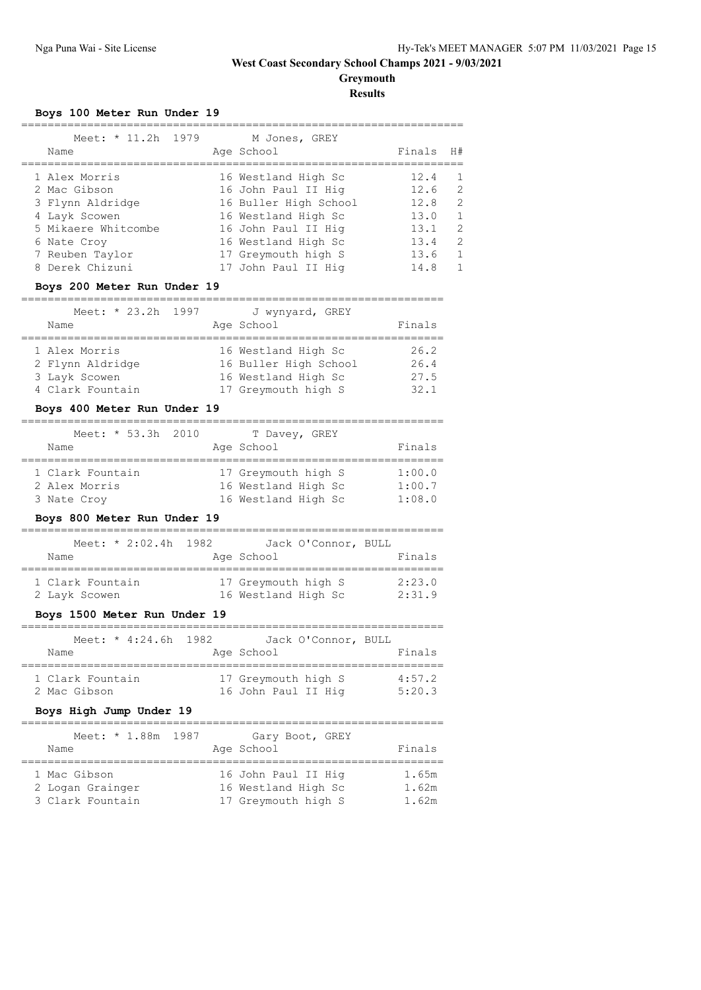**Greymouth**

**Results**

## **Boys 100 Meter Run Under 19**

| Meet: * 11.2h 1979<br>Name |  | M Jones, GREY<br>Age School | Finals | H# |
|----------------------------|--|-----------------------------|--------|----|
| 1 Alex Morris              |  | 16 Westland High Sc         | 12.4   |    |
| 2 Mac Gibson               |  | 16 John Paul II Hig         | 12.6   | 2  |
| 3 Flynn Aldridge           |  | 16 Buller High School       | 12.8   | 2  |
| 4 Layk Scowen              |  | 16 Westland High Sc         | 13.0   |    |
| 5 Mikaere Whitcombe        |  | 16 John Paul II Hig         | 13.1   | 2  |
| 6 Nate Croy                |  | 16 Westland High Sc         | 13.4   | 2  |
| 7 Reuben Taylor            |  | 17 Greymouth high S         | 13.6   |    |
| 8 Derek Chizuni            |  | 17 John Paul II Hig         | 14.8   |    |
|                            |  |                             |        |    |

#### **Boys 200 Meter Run Under 19**

#### ================================================================

| Meet: * 23.2h 1997 |  | J wynyard, GREY       |        |
|--------------------|--|-----------------------|--------|
| Name               |  | Age School            | Finals |
| 1 Alex Morris      |  | 16 Westland High Sc   | 26.2   |
| 2 Flynn Aldridge   |  | 16 Buller High School | 26.4   |
| 3 Layk Scowen      |  | 16 Westland High Sc   | 27.5   |
| 4 Clark Fountain   |  | 17 Greymouth high S   | 32.1   |

### **Boys 400 Meter Run Under 19**

| Meet: * 53.3h 2010 |  | T Davey, GREY       |        |
|--------------------|--|---------------------|--------|
| Name               |  | Age School          | Finals |
| 1 Clark Fountain   |  | 17 Greymouth high S | 1:00.0 |
| 2 Alex Morris      |  | 16 Westland High Sc | 1:00.7 |
| 3 Nate Croy        |  | 16 Westland High Sc | 1:08.0 |

### **Boys 800 Meter Run Under 19**

|                                   | Meet: $* 2:02.4h 1982$ |                                            | Jack O'Connor, BULL |                  |
|-----------------------------------|------------------------|--------------------------------------------|---------------------|------------------|
| Name                              |                        | Age School                                 |                     | Finals           |
| 1 Clark Fountain<br>2 Layk Scowen |                        | 17 Greymouth high S<br>16 Westland High Sc |                     | 2:23.0<br>2:31.9 |

### **Boys 1500 Meter Run Under 19**

|                                  | Meet: * $4:24.6h$ 1982 |                                            | Jack O'Connor, BULL |                  |
|----------------------------------|------------------------|--------------------------------------------|---------------------|------------------|
| Name                             |                        | Age School                                 |                     | Finals           |
| 1 Clark Fountain<br>2 Mac Gibson |                        | 17 Greymouth high S<br>16 John Paul II Hig |                     | 4:57.2<br>5:20.3 |

## **Boys High Jump Under 19**

| Meet: * 1.88m 1987                                   | Gary Boot, GREY                                                   |                         |
|------------------------------------------------------|-------------------------------------------------------------------|-------------------------|
| Name                                                 | Age School                                                        | Finals                  |
| 1 Mac Gibson<br>2 Logan Grainger<br>3 Clark Fountain | 16 John Paul II Hig<br>16 Westland High Sc<br>17 Greymouth high S | 1.65m<br>1.62m<br>1.62m |